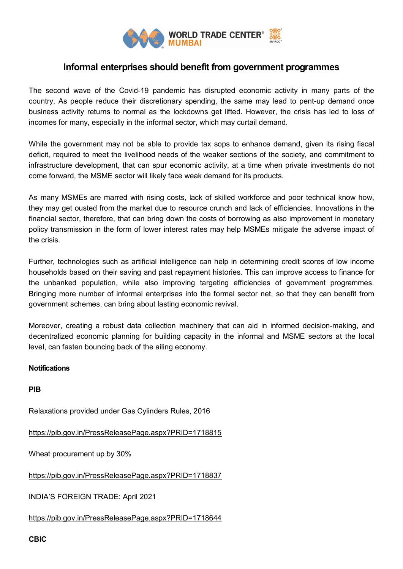

## **Informal enterprises should benefit from government programmes**

The second wave of the Covid-19 pandemic has disrupted economic activity in many parts of the country. As people reduce their discretionary spending, the same may lead to pent-up demand once business activity returns to normal as the lockdowns get lifted. However, the crisis has led to loss of incomes for many, especially in the informal sector, which may curtail demand.

While the government may not be able to provide tax sops to enhance demand, given its rising fiscal deficit, required to meet the livelihood needs of the weaker sections of the society, and commitment to infrastructure development, that can spur economic activity, at a time when private investments do not come forward, the MSME sector will likely face weak demand for its products.

As many MSMEs are marred with rising costs, lack of skilled workforce and poor technical know how, they may get ousted from the market due to resource crunch and lack of efficiencies. Innovations in the financial sector, therefore, that can bring down the costs of borrowing as also improvement in monetary policy transmission in the form of lower interest rates may help MSMEs mitigate the adverse impact of the crisis.

Further, technologies such as artificial intelligence can help in determining credit scores of low income households based on their saving and past repayment histories. This can improve access to finance for the unbanked population, while also improving targeting efficiencies of government programmes. Bringing more number of informal enterprises into the formal sector net, so that they can benefit from government schemes, can bring about lasting economic revival.

Moreover, creating a robust data collection machinery that can aid in informed decision-making, and decentralized economic planning for building capacity in the informal and MSME sectors at the local level, can fasten bouncing back of the ailing economy.

## **Notifications**

**PIB**

Relaxations provided under Gas Cylinders Rules, 2016

<https://pib.gov.in/PressReleasePage.aspx?PRID=1718815>

Wheat procurement up by 30%

<https://pib.gov.in/PressReleasePage.aspx?PRID=1718837>

INDIA'S FOREIGN TRADE: April 2021

<https://pib.gov.in/PressReleasePage.aspx?PRID=1718644>

**CBIC**